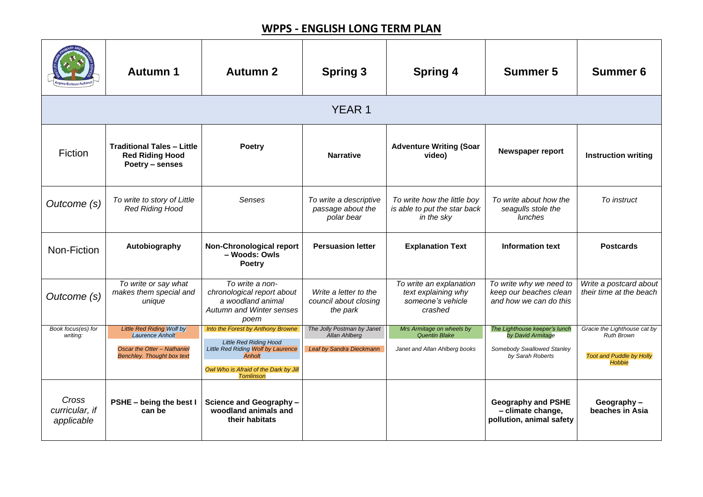|                                       | <b>Autumn 1</b>                                                                | <b>Autumn 2</b>                                                                                                               | <b>Spring 3</b>                                            | <b>Spring 4</b>                                                                | <b>Summer 5</b>                                                             | <b>Summer 6</b>                                   |  |  |  |
|---------------------------------------|--------------------------------------------------------------------------------|-------------------------------------------------------------------------------------------------------------------------------|------------------------------------------------------------|--------------------------------------------------------------------------------|-----------------------------------------------------------------------------|---------------------------------------------------|--|--|--|
|                                       | <b>YEAR 1</b>                                                                  |                                                                                                                               |                                                            |                                                                                |                                                                             |                                                   |  |  |  |
| Fiction                               | <b>Traditional Tales - Little</b><br><b>Red Riding Hood</b><br>Poetry – senses | <b>Poetry</b>                                                                                                                 | <b>Narrative</b>                                           | <b>Adventure Writing (Soar</b><br>video)                                       | <b>Newspaper report</b>                                                     | <b>Instruction writing</b>                        |  |  |  |
| Outcome (s)                           | To write to story of Little<br><b>Red Riding Hood</b>                          | <b>Senses</b>                                                                                                                 | To write a descriptive<br>passage about the<br>polar bear  | To write how the little boy<br>is able to put the star back<br>in the sky      | To write about how the<br>seagulls stole the<br>lunches                     | To instruct                                       |  |  |  |
| Non-Fiction                           | Autobiography                                                                  | <b>Non-Chronological report</b><br>- Woods: Owls<br><b>Poetry</b>                                                             | <b>Persuasion letter</b>                                   | <b>Explanation Text</b>                                                        | <b>Information text</b>                                                     | <b>Postcards</b>                                  |  |  |  |
| Outcome (s)                           | To write or say what<br>makes them special and<br>unique                       | To write a non-<br>chronological report about<br>a woodland animal<br><b>Autumn and Winter senses</b><br>poem                 | Write a letter to the<br>council about closing<br>the park | To write an explanation<br>text explaining why<br>someone's vehicle<br>crashed | To write why we need to<br>keep our beaches clean<br>and how we can do this | Write a postcard about<br>their time at the beach |  |  |  |
| Book focus(es) for<br>writing:        | <b>Little Red Riding Wolf by</b><br>Laurence Anholt                            | Into the Forest by Anthony Browne                                                                                             | The Jolly Postman by Janet<br><b>Allan Ahlberg</b>         | Mrs Armitage on wheels by<br><b>Quentin Blake</b>                              | The Lighthouse keeper's lunch<br>by David Armitage                          | Gracie the Lighthouse cat by<br><b>Ruth Brown</b> |  |  |  |
|                                       | <b>Oscar the Otter - Nathaniel</b><br><b>Benchley. Thought box text</b>        | <b>Little Red Riding Hood</b><br>Little Red Riding Wolf by Laurence<br><b>Anholt</b><br>Owl Who is Afraid of the Dark by Jill | Leaf by Sandra Dieckmann                                   | Janet and Allan Ahlberg books                                                  | <b>Somebody Swallowed Stanley</b><br>by Sarah Roberts                       | <b>Toot and Puddle by Holly</b><br><b>Hobbie</b>  |  |  |  |
| Cross<br>curricular, if<br>applicable | <b>PSHE - being the best I</b><br>can be                                       | <b>Tomlinson</b><br>Science and Geography-<br>woodland animals and<br>their habitats                                          |                                                            |                                                                                | <b>Geography and PSHE</b><br>- climate change,<br>pollution, animal safety  | Geography-<br>beaches in Asia                     |  |  |  |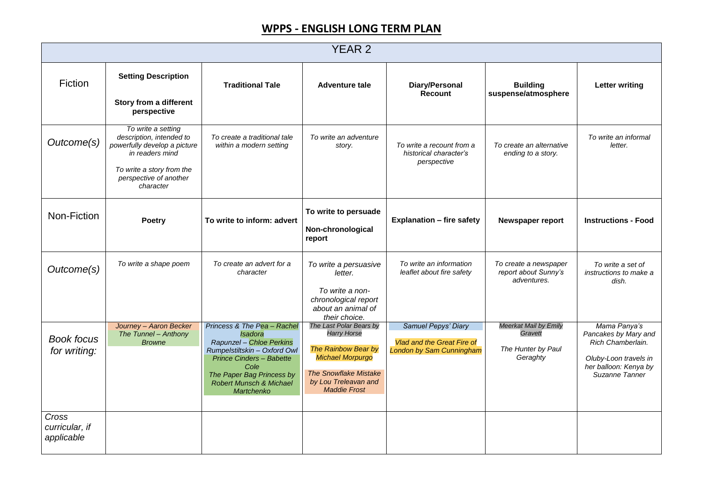|                                       | <b>YEAR 2</b>                                                                                                                                                         |                                                                                                                                                                                                                                       |                                                                                                                                                                                |                                                                                                    |                                                                           |                                                                                                                               |  |  |
|---------------------------------------|-----------------------------------------------------------------------------------------------------------------------------------------------------------------------|---------------------------------------------------------------------------------------------------------------------------------------------------------------------------------------------------------------------------------------|--------------------------------------------------------------------------------------------------------------------------------------------------------------------------------|----------------------------------------------------------------------------------------------------|---------------------------------------------------------------------------|-------------------------------------------------------------------------------------------------------------------------------|--|--|
| <b>Fiction</b>                        | <b>Setting Description</b><br><b>Story from a different</b><br>perspective                                                                                            | <b>Traditional Tale</b>                                                                                                                                                                                                               | <b>Adventure tale</b>                                                                                                                                                          | <b>Diary/Personal</b><br><b>Recount</b>                                                            | <b>Building</b><br>suspense/atmosphere                                    | <b>Letter writing</b>                                                                                                         |  |  |
| Outcome(s)                            | To write a setting<br>description, intended to<br>powerfully develop a picture<br>in readers mind<br>To write a story from the<br>perspective of another<br>character | To create a traditional tale<br>within a modern setting                                                                                                                                                                               | To write an adventure<br>story.                                                                                                                                                | To write a recount from a<br>historical character's<br>perspective                                 | To create an alternative<br>ending to a story.                            | To write an informal<br>letter.                                                                                               |  |  |
| Non-Fiction                           | <b>Poetry</b>                                                                                                                                                         | To write to inform: advert                                                                                                                                                                                                            | To write to persuade<br>Non-chronological<br>report                                                                                                                            | <b>Explanation - fire safety</b>                                                                   | <b>Newspaper report</b>                                                   | <b>Instructions - Food</b>                                                                                                    |  |  |
| Outcome(s)                            | To write a shape poem                                                                                                                                                 | To create an advert for a<br>character                                                                                                                                                                                                | To write a persuasive<br>letter.<br>To write a non-<br>chronological report<br>about an animal of<br>their choice.                                                             | To write an information<br>leaflet about fire safety                                               | To create a newspaper<br>report about Sunny's<br>adventures.              | To write a set of<br>instructions to make a<br>dish.                                                                          |  |  |
| <b>Book focus</b><br>for writing:     | Journey - Aaron Becker<br>The Tunnel - Anthony<br><b>Browne</b>                                                                                                       | Princess & The Pea - Rachel<br><b>Isadora</b><br>Rapunzel - Chloe Perkins<br>Rumpelstiltskin - Oxford Owl<br><b>Prince Cinders - Babette</b><br>Cole<br>The Paper Bag Princess by<br><b>Robert Munsch &amp; Michael</b><br>Martchenko | The Last Polar Bears by<br><b>Harry Horse</b><br>The Rainbow Bear by<br><b>Michael Morpurgo</b><br><b>The Snowflake Mistake</b><br>by Lou Treleavan and<br><b>Maddie Frost</b> | <b>Samuel Pepys' Diary</b><br><b>Vlad and the Great Fire of</b><br><b>London by Sam Cunningham</b> | <b>Meerkat Mail by Emily</b><br>Gravett<br>The Hunter by Paul<br>Geraghty | Mama Panya's<br>Pancakes by Mary and<br>Rich Chamberlain.<br>Oluby-Loon travels in<br>her balloon: Kenya by<br>Suzanne Tanner |  |  |
| Cross<br>curricular, if<br>applicable |                                                                                                                                                                       |                                                                                                                                                                                                                                       |                                                                                                                                                                                |                                                                                                    |                                                                           |                                                                                                                               |  |  |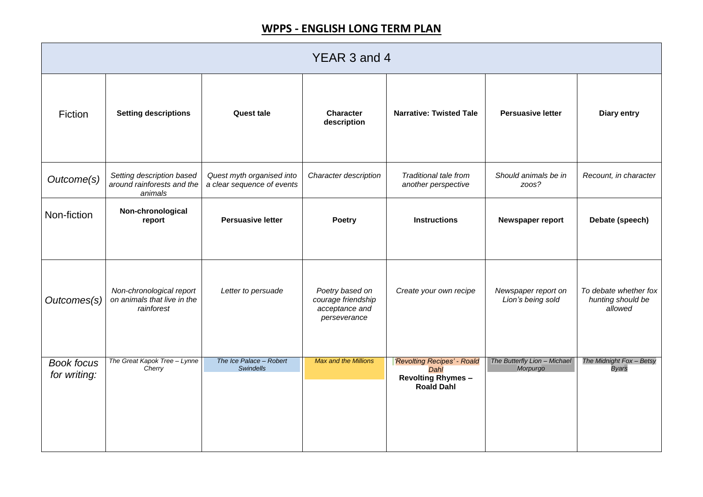| YEAR 3 and 4                      |                                                                       |                                                         |                                                                         |                                                                                      |                                          |                                                       |  |
|-----------------------------------|-----------------------------------------------------------------------|---------------------------------------------------------|-------------------------------------------------------------------------|--------------------------------------------------------------------------------------|------------------------------------------|-------------------------------------------------------|--|
| <b>Fiction</b>                    | <b>Setting descriptions</b>                                           | <b>Quest tale</b>                                       | <b>Character</b><br>description                                         | <b>Narrative: Twisted Tale</b>                                                       | <b>Persuasive letter</b>                 | <b>Diary entry</b>                                    |  |
| Outcome(s)                        | Setting description based<br>around rainforests and the<br>animals    | Quest myth organised into<br>a clear sequence of events | Character description                                                   | <b>Traditional tale from</b><br>another perspective                                  | Should animals be in<br>zoos?            | Recount, in character                                 |  |
| Non-fiction                       | Non-chronological<br>report                                           | <b>Persuasive letter</b>                                | <b>Poetry</b>                                                           | <b>Instructions</b>                                                                  | Newspaper report                         | Debate (speech)                                       |  |
| Outcomes(s)<br>$\sqrt{ }$         | Non-chronological report<br>on animals that live in the<br>rainforest | Letter to persuade                                      | Poetry based on<br>courage friendship<br>acceptance and<br>perseverance | Create your own recipe                                                               | Newspaper report on<br>Lion's being sold | To debate whether fox<br>hunting should be<br>allowed |  |
| <b>Book focus</b><br>for writing: | The Great Kapok Tree - Lynne<br>Cherry                                | The Ice Palace - Robert<br><b>Swindells</b>             | <b>Max and the Millions</b>                                             | 'Revolting Recipes' - Roald<br>Dahl<br><b>Revolting Rhymes-</b><br><b>Roald Dahl</b> | The Butterfly Lion - Michael<br>Morpurgo | The Midnight Fox - Betsy<br><b>Byars</b>              |  |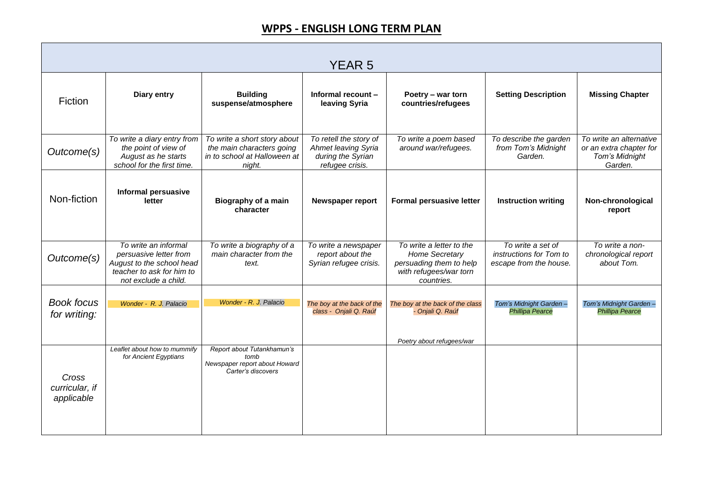|                                       |                                                                                                                                  |                                                                                                     | <b>YEAR 5</b>                                                                                |                                                                                                                      |                                                                        |                                                                                 |
|---------------------------------------|----------------------------------------------------------------------------------------------------------------------------------|-----------------------------------------------------------------------------------------------------|----------------------------------------------------------------------------------------------|----------------------------------------------------------------------------------------------------------------------|------------------------------------------------------------------------|---------------------------------------------------------------------------------|
| <b>Fiction</b>                        | <b>Diary entry</b>                                                                                                               | <b>Building</b><br>suspense/atmosphere                                                              | Informal recount -<br>leaving Syria                                                          | Poetry – war torn<br>countries/refugees                                                                              | <b>Setting Description</b>                                             | <b>Missing Chapter</b>                                                          |
| Outcome(s)                            | To write a diary entry from<br>the point of view of<br>August as he starts<br>school for the first time.                         | To write a short story about<br>the main characters going<br>in to school at Halloween at<br>night. | To retell the story of<br><b>Ahmet leaving Syria</b><br>during the Syrian<br>refugee crisis. | To write a poem based<br>around war/refugees.                                                                        | To describe the garden<br>from Tom's Midnight<br>Garden.               | To write an alternative<br>or an extra chapter for<br>Tom's Midnight<br>Garden. |
| Non-fiction                           | <b>Informal persuasive</b><br>letter                                                                                             | <b>Biography of a main</b><br>character                                                             | <b>Newspaper report</b>                                                                      | <b>Formal persuasive letter</b>                                                                                      | <b>Instruction writing</b>                                             | Non-chronological<br>report                                                     |
| Outcome(s)                            | To write an informal<br>persuasive letter from<br>August to the school head<br>teacher to ask for him to<br>not exclude a child. | To write a biography of a<br>main character from the<br>text.                                       | To write a newspaper<br>report about the<br>Syrian refugee crisis.                           | To write a letter to the<br><b>Home Secretary</b><br>persuading them to help<br>with refugees/war torn<br>countries. | To write a set of<br>instructions for Tom to<br>escape from the house. | To write a non-<br>chronological report<br>about Tom.                           |
| <b>Book focus</b><br>for writing:     | Wonder - R. J. Palacio                                                                                                           | Wonder - R. J. Palacio                                                                              | class - Onjali Q. Raúf                                                                       | The boy at the back of the $\vert$ The boy at the back of the class<br>- Onjali Q. Raúf                              | Tom's Midnight Garden-<br><b>Phillipa Pearce</b>                       | Tom's Midnight Garden-<br><b>Phillipa Pearce</b>                                |
| Cross<br>curricular, if<br>applicable | Leaflet about how to mummify<br>for Ancient Egyptians                                                                            | Report about Tutankhamun's<br>tomb<br>Newspaper report about Howard<br>Carter's discovers           |                                                                                              | Poetry about refugees/war                                                                                            |                                                                        |                                                                                 |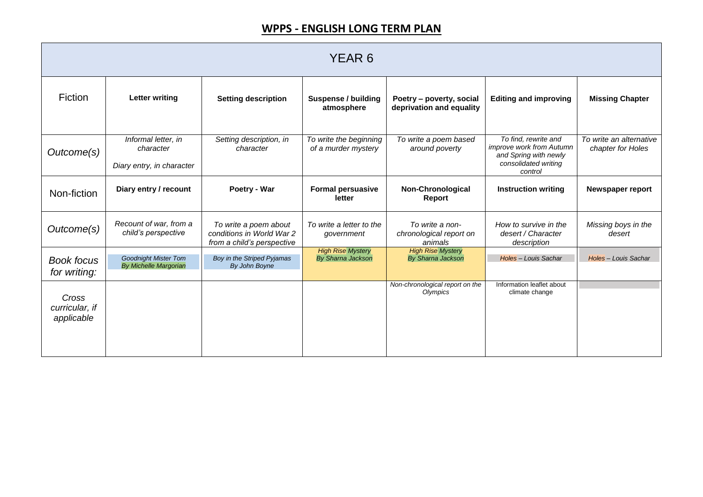| YEAR 6                                |                                                               |                                                                                  |                                                      |                                                       |                                                                                                              |                                              |  |
|---------------------------------------|---------------------------------------------------------------|----------------------------------------------------------------------------------|------------------------------------------------------|-------------------------------------------------------|--------------------------------------------------------------------------------------------------------------|----------------------------------------------|--|
| <b>Fiction</b>                        | <b>Letter writing</b>                                         | <b>Setting description</b>                                                       | <b>Suspense / building</b><br>atmosphere             | Poetry - poverty, social<br>deprivation and equality  | <b>Editing and improving</b>                                                                                 | <b>Missing Chapter</b>                       |  |
| Outcome(s)                            | Informal letter, in<br>character<br>Diary entry, in character | Setting description, in<br>character                                             | To write the beginning<br>of a murder mystery        | To write a poem based<br>around poverty               | To find, rewrite and<br>improve work from Autumn<br>and Spring with newly<br>consolidated writing<br>control | To write an alternative<br>chapter for Holes |  |
| Non-fiction                           | Diary entry / recount                                         | Poetry - War                                                                     | <b>Formal persuasive</b><br>letter                   | <b>Non-Chronological</b><br>Report                    | <b>Instruction writing</b>                                                                                   | Newspaper report                             |  |
| Outcome(s)                            | Recount of war, from a<br>child's perspective                 | To write a poem about<br>conditions in World War 2<br>from a child's perspective | To write a letter to the<br>government               | To write a non-<br>chronological report on<br>animals | How to survive in the<br>desert / Character<br>description                                                   | Missing boys in the<br>desert                |  |
| <b>Book focus</b><br>for writing:     | <b>Goodnight Mister Tom</b><br><b>By Michelle Margorian</b>   | Boy in the Striped Pyjamas<br>By John Boyne                                      | <b>High Rise Mystery</b><br><b>By Sharna Jackson</b> | <b>High Rise Mystery</b><br><b>By Sharna Jackson</b>  | Holes - Louis Sachar                                                                                         | Holes - Louis Sachar                         |  |
| Cross<br>curricular, if<br>applicable |                                                               |                                                                                  |                                                      | Non-chronological report on the<br>Olympics           | Information leaflet about<br>climate change                                                                  |                                              |  |